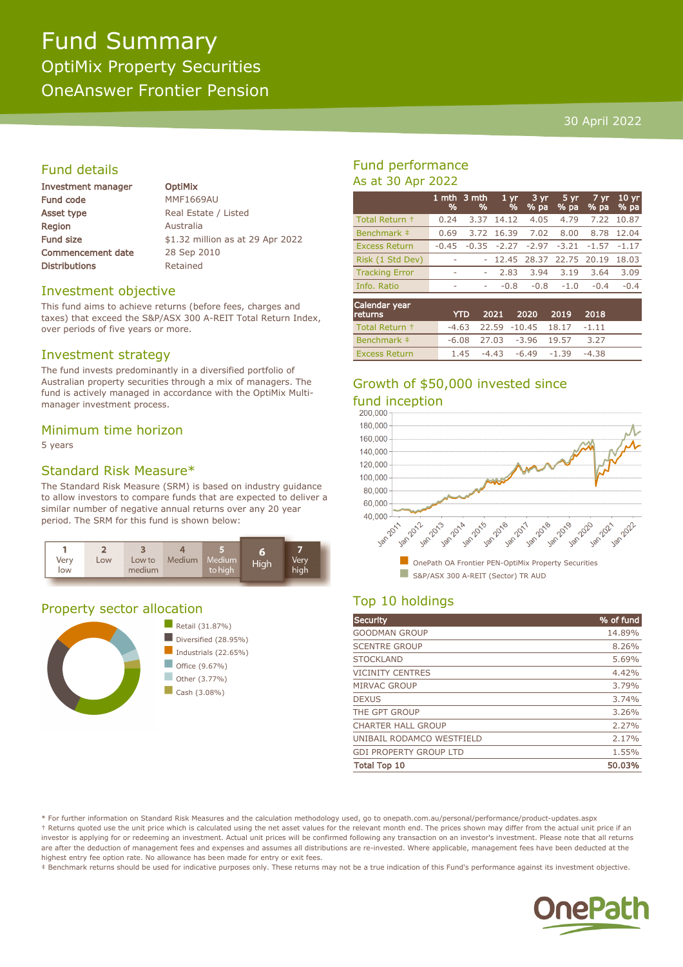# Fund Summary OptiMix Property Securities OneAnswer Frontier Pension

#### 30 April 2022

## Fund details

| Investment manager       |  |  |
|--------------------------|--|--|
| <b>Fund code</b>         |  |  |
| Asset type               |  |  |
| Region                   |  |  |
| <b>Fund size</b>         |  |  |
| <b>Commencement date</b> |  |  |
| <b>Distributions</b>     |  |  |

**OptiMix MMF1669AU** Real Estate / Listed **Australia** \$1.32 million as at 29 Apr 2022 28 Sep 2010 Retained

#### Investment objective

This fund aims to achieve returns (before fees, charges and taxes) that exceed the S&P/ASX 300 A-REIT Total Return Index, over periods of five years or more.

#### Investment strategy

The fund invests predominantly in a diversified portfolio of Australian property securities through a mix of managers. The fund is actively managed in accordance with the OptiMix Multimanager investment process.

#### Minimum time horizon

5 years

#### Standard Risk Measure\*

The Standard Risk Measure (SRM) is based on industry guidance to allow investors to compare funds that are expected to deliver a similar number of negative annual returns over any 20 year period. The SRM for this fund is shown below:



#### Property sector allocation



### Fund performance As at 30 Apr 2022

|                       | %                        | 1 mth 3 mth<br>% | 1 <sub>yr</sub><br>% | 3 yr<br>% pa | 5 yr<br>% pa | 7 yr.<br>% pa | 10 <sub>yr</sub><br>% pa |
|-----------------------|--------------------------|------------------|----------------------|--------------|--------------|---------------|--------------------------|
| Total Return +        | 0.24                     | 3.37             | 14.12                | 4.05         | 4.79         | 7.22          | 10.87                    |
| Benchmark #           | 0.69                     | 3.72             | 16.39                | 7.02         | 8.00         | 8.78          | 12.04                    |
| <b>Excess Return</b>  | $-0.45$                  | $-0.35$          | $-2.27$              | $-2.97$      | $-3.21$      | $-1.57$       | $-1.17$                  |
| Risk (1 Std Dev)      | $\overline{\phantom{a}}$ |                  | 12.45                | 28.37        | 22.75 20.19  |               | 18.03                    |
| <b>Tracking Error</b> | ۰                        | ۰                | 2.83                 | 3.94         | 3.19         | 3.64          | 3.09                     |
| Info. Ratio           | ۰                        | ۰                | $-0.8$               | $-0.8$       | $-1.0$       | $-0.4$        | $-0.4$                   |
| Calendar year         |                          |                  |                      |              |              |               |                          |

| Carchigan year<br><b>returns</b> |  | YTD 2021 2020 2019 2018              |      |  |
|----------------------------------|--|--------------------------------------|------|--|
| Total Return +                   |  | $-4.63$ 22.59 $-10.45$ 18.17 $-1.11$ |      |  |
| Benchmark ‡                      |  | $-6.08$ 27.03 $-3.96$ 19.57          | 3.27 |  |
| <b>Excess Return</b>             |  | $1.45 -4.43 -6.49 -1.39 -4.38$       |      |  |

# Growth of \$50,000 invested since



## Top 10 holdings

| Security                      | % of fund |
|-------------------------------|-----------|
| <b>GOODMAN GROUP</b>          | 14.89%    |
| <b>SCENTRE GROUP</b>          | 8.26%     |
| <b>STOCKLAND</b>              | 5.69%     |
| <b>VICINITY CENTRES</b>       | 4.42%     |
| MIRVAC GROUP                  | 3.79%     |
| <b>DEXUS</b>                  | 3.74%     |
| THE GPT GROUP                 | 3.26%     |
| <b>CHARTER HALL GROUP</b>     | 2.27%     |
| UNIBAIL RODAMCO WESTFIELD     | 2.17%     |
| <b>GDI PROPERTY GROUP LTD</b> | 1.55%     |
| <b>Total Top 10</b>           | 50.03%    |

\* For further information on Standard Risk Measures and the calculation methodology used, go to onepath.com.au/personal/performance/product-updates.aspx † Returns quoted use the unit price which is calculated using the net asset values for the relevant month end. The prices shown may differ from the actual unit price if an investor is applying for or redeeming an investment. Actual unit prices will be confirmed following any transaction on an investor's investment. Please note that all returns are after the deduction of management fees and expenses and assumes all distributions are re-invested. Where applicable, management fees have been deducted at the highest entry fee option rate. No allowance has been made for entry or exit fees.

‡ Benchmark returns should be used for indicative purposes only. These returns may not be a true indication of this Fund's performance against its investment objective.